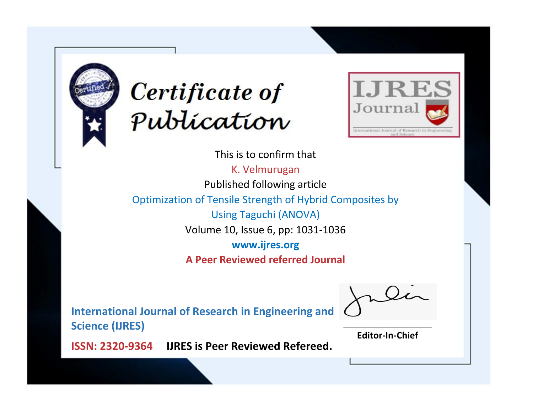



This is to confirm that

K. Velmurugan Published following article Optimization of Tensile Strength of Hybrid Composites by Using Taguchi (ANOVA) Volume 10, Issue 6, pp: 1031-1036 **www.ijres.org A Peer Reviewed referred Journal**

**International Journal of Research in Engineering and Science (IJRES)**

\_\_\_\_\_\_\_\_\_\_\_\_\_\_\_\_\_\_\_\_\_\_\_\_ **Editor-In-Chief**

**Journal.**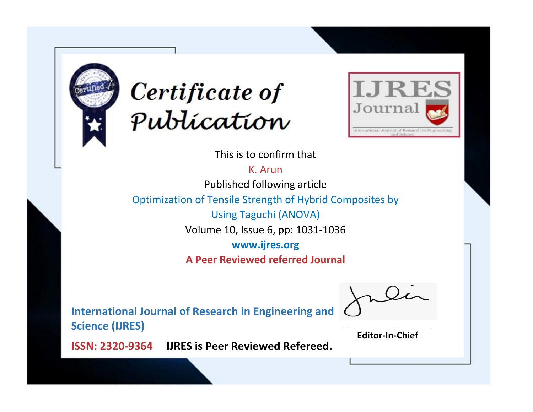



This is to confirm that

K. Arun

Published following article

Optimization of Tensile Strength of Hybrid Composites by

Using Taguchi (ANOVA)

Volume 10, Issue 6, pp: 1031-1036

**www.ijres.org**

**A Peer Reviewed referred Journal**

**International Journal of Research in Engineering and Science (IJRES)**

\_\_\_\_\_\_\_\_\_\_\_\_\_\_\_\_\_\_\_\_\_\_\_\_ **Editor-In-Chief**

**Journal.**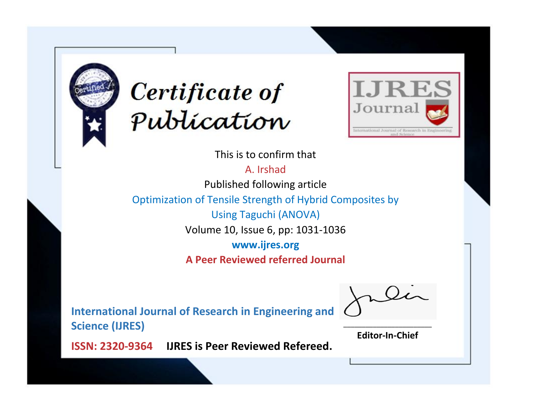



This is to confirm that

A. Irshad Published following article

Optimization of Tensile Strength of Hybrid Composites by

Using Taguchi (ANOVA)

Volume 10, Issue 6, pp: 1031-1036

**www.ijres.org**

**A Peer Reviewed referred Journal**

**International Journal of Research in Engineering and Science (IJRES)**

\_\_\_\_\_\_\_\_\_\_\_\_\_\_\_\_\_\_\_\_\_\_\_\_ **Editor-In-Chief**

**Journal.**